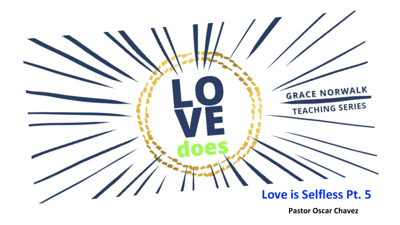

**Pastor Oscar Chavez**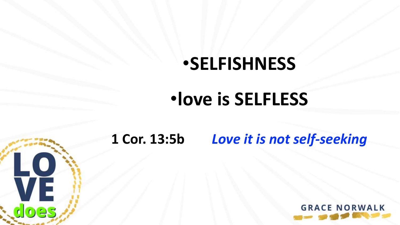# •**SELFISHNESS**

# •**love is SELFLESS**



### **1 Cor. 13:5b** *Love it is not self-seeking*

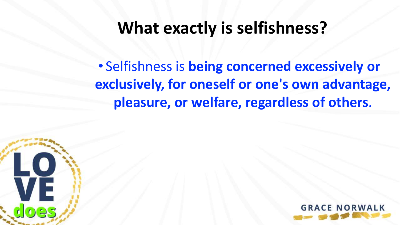## **What exactly is selfishness?**

• Selfishness is **being concerned excessively or exclusively, for oneself or one's own advantage, pleasure, or welfare, regardless of others**.



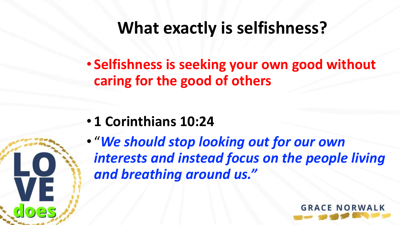## **What exactly is selfishness?**

• **Selfishness is seeking your own good without caring for the good of others** 

• **1 Corinthians 10:24** 

50

VĚ.

• "*We should stop looking out for our own interests and instead focus on the people living and breathing around us."*

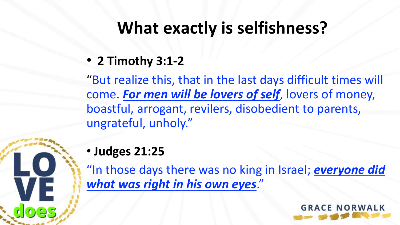## **What exactly is selfishness?**

• **2 Timothy 3:1-2** 

"But realize this, that in the last days difficult times will come. *For men will be lovers of self*, lovers of money, boastful, arrogant, revilers, disobedient to parents, ungrateful, unholy."

#### • **Judges 21:25**

VE

"In those days there was no king in Israel; *everyone did what was right in his own eyes*."

**GRACE NORWA**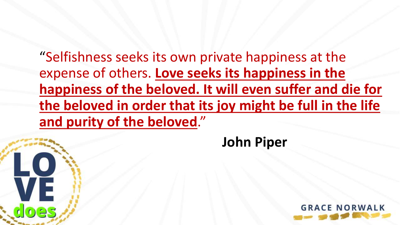"Selfishness seeks its own private happiness at the expense of others. **Love seeks its happiness in the happiness of the beloved. It will even suffer and die for the beloved in order that its joy might be full in the life and purity of the beloved**."

VE

125

**John Piper**

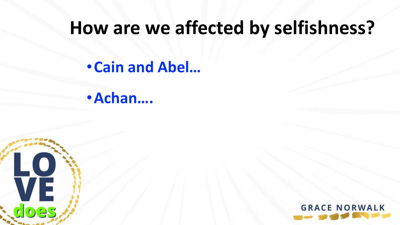•**Cain and Abel…**

•**Achan….**



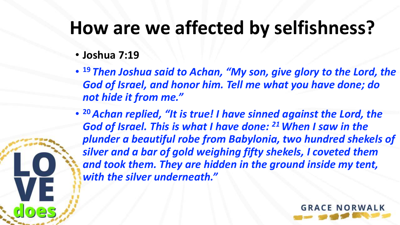- **Joshua 7:19**
- **<sup>19</sup>** *Then Joshua said to Achan, "My son, give glory to the Lord, the God of Israel, and honor him. Tell me what you have done; do not hide it from me."*
- **<sup>20</sup>** *Achan replied, "It is true! I have sinned against the Lord, the God of Israel. This is what I have done: <sup>21</sup> When I saw in the plunder a beautiful robe from Babylonia, two hundred shekels of silver and a bar of gold weighing fifty shekels, I coveted them and took them. They are hidden in the ground inside my tent, with the silver underneath."*

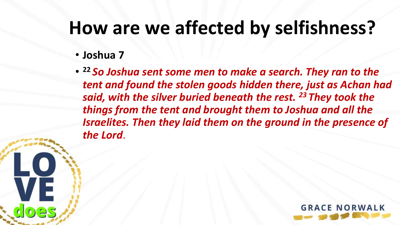#### • **Joshua 7**

**VE** 

• **<sup>22</sup>** *So Joshua sent some men to make a search. They ran to the tent and found the stolen goods hidden there, just as Achan had said, with the silver buried beneath the rest. <sup>23</sup> They took the things from the tent and brought them to Joshua and all the Israelites. Then they laid them on the ground in the presence of the Lord*.

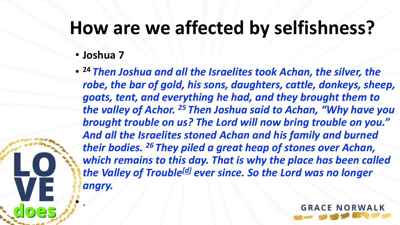#### • **Joshua 7**

• .

• **<sup>24</sup>** *Then Joshua and all the Israelites took Achan, the silver, the robe, the bar of gold, his sons, daughters, cattle, donkeys, sheep, goats, tent, and everything he had, and they brought them to the valley of Achor. <sup>25</sup> Then Joshua said to Achan, "Why have you brought trouble on us? The Lord will now bring trouble on you." And all the Israelites stoned Achan and his family and burned their bodies. <sup>26</sup> They piled a great heap of stones over Achan, which remains to this day. That is why the place has been called the Valley of Trouble[[d\]](https://www.biblegateway.com/passage/?search=Joshua+7%3A19-26&version=NLT#fen-NLT-5979d) ever since. So the Lord was no longer angry.*

**GRACE NORWA**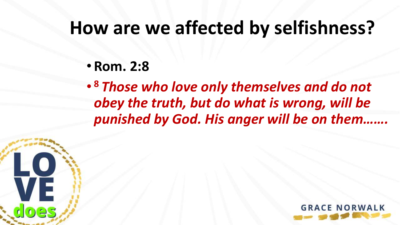• **Rom. 2:8**

VE

es

• **<sup>8</sup>** *Those who love only themselves and do not obey the truth, but do what is wrong, will be punished by God. His anger will be on them…….*

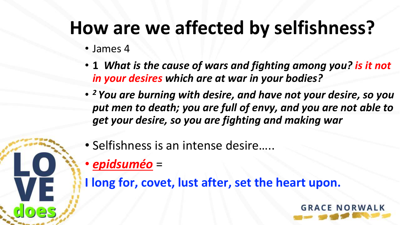- James 4
- **1** *What is the cause of wars and fighting among you? is it not in your desires which are at war in your bodies?*
- *<sup>2</sup> You are burning with desire, and have not your desire, so you put men to death; you are full of envy, and you are not able to get your desire, so you are fighting and making war*
- Selfishness is an intense desire…..
- *epidsuméo* =

VE.

**I long for, covet, lust after, set the heart upon.**

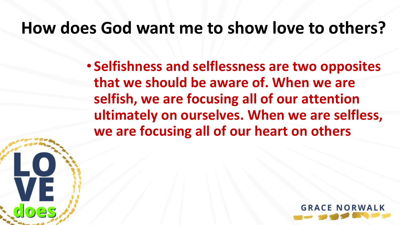• **Selfishness and selflessness are two opposites that we should be aware of. When we are selfish, we are focusing all of our attention ultimately on ourselves. When we are selfless, we are focusing all of our heart on others**

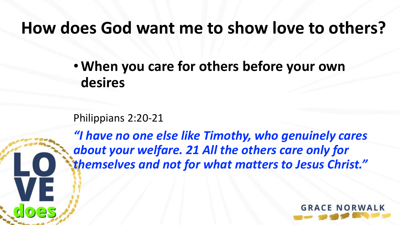•**When you care for others before your own desires**

Philippians 2:20-21

*"I have no one else like Timothy, who genuinely cares about your welfare. 21 All the others care only for themselves and not for what matters to Jesus Christ."*

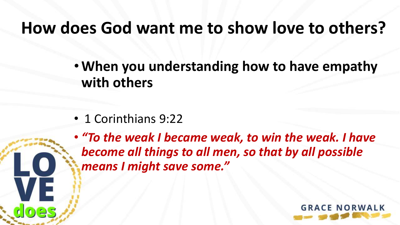•**When you understanding how to have empathy with others**

• 1 Corinthians 9:22

• *"To the weak I became weak, to win the weak. I have become all things to all men, so that by all possible means I might save some."*

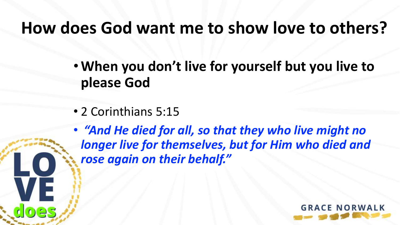•**When you don't live for yourself but you live to please God**

• 2 Corinthians 5:15

• *"And He died for all, so that they who live might no longer live for themselves, but for Him who died and rose again on their behalf."*

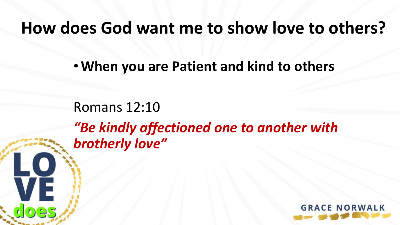•**When you are Patient and kind to others**

Romans 12:10 *"Be kindly affectioned one to another with brotherly love"*

LO

VE

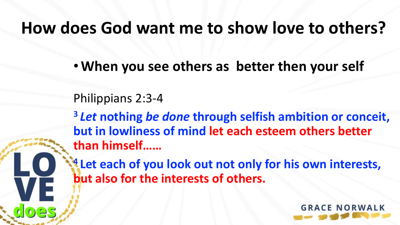•**When you see others as better then your self**

Philippians 2:3-4

**<sup>3</sup>** *Let* **nothing** *be done* **through selfish ambition or conceit, but in lowliness of mind let each esteem others better than himself……**

**<sup>4</sup> Let each of you look out not only for his own interests, but also for the interests of others.**

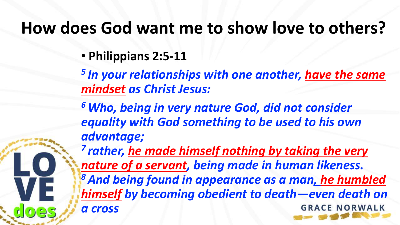• **Philippians 2:5-11**

*5 In your relationships with one another, have the same mindset as Christ Jesus:*

*<sup>6</sup> Who, being in very nature God, did not consider equality with God something to be used to his own advantage;*

*7 rather, he made himself nothing by taking the very nature of a servant, being made in human likeness. <sup>8</sup> And being found in appearance as a man, he humbled himself by becoming obedient to death—even death on a cross* **GRACE NORWAL**